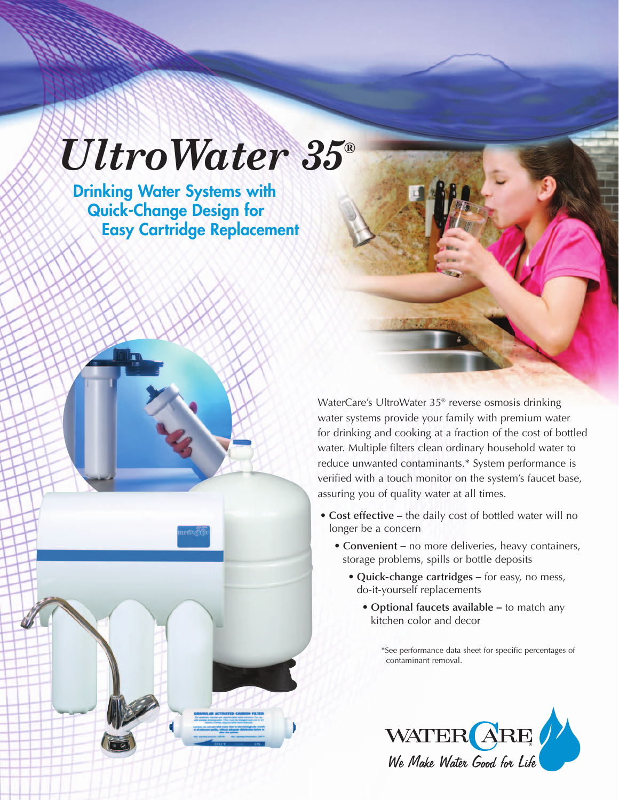## *UltroWater 35®*

**Drinking Water Systems with Quick-Change Design for Easy Cartridge Replacement**

> WaterCare's UltroWater 35® reverse osmosis drinking water systems provide your family with premium water for drinking and cooking at a fraction of the cost of bottled water. Multiple filters clean ordinary household water to reduce unwanted contaminants.\* System performance is verified with a touch monitor on the system's faucet base, assuring you of quality water at all times.

- **Cost effective –** the daily cost of bottled water will no longer be a concern
	- **Convenient –** no more deliveries, heavy containers, storage problems, spills or bottle deposits
		- **Quick-change cartridges –** for easy, no mess, do-it-yourself replacements
			- **Optional faucets available –** to match any kitchen color and decor

\*See performance data sheet for specific percentages of contaminant removal.